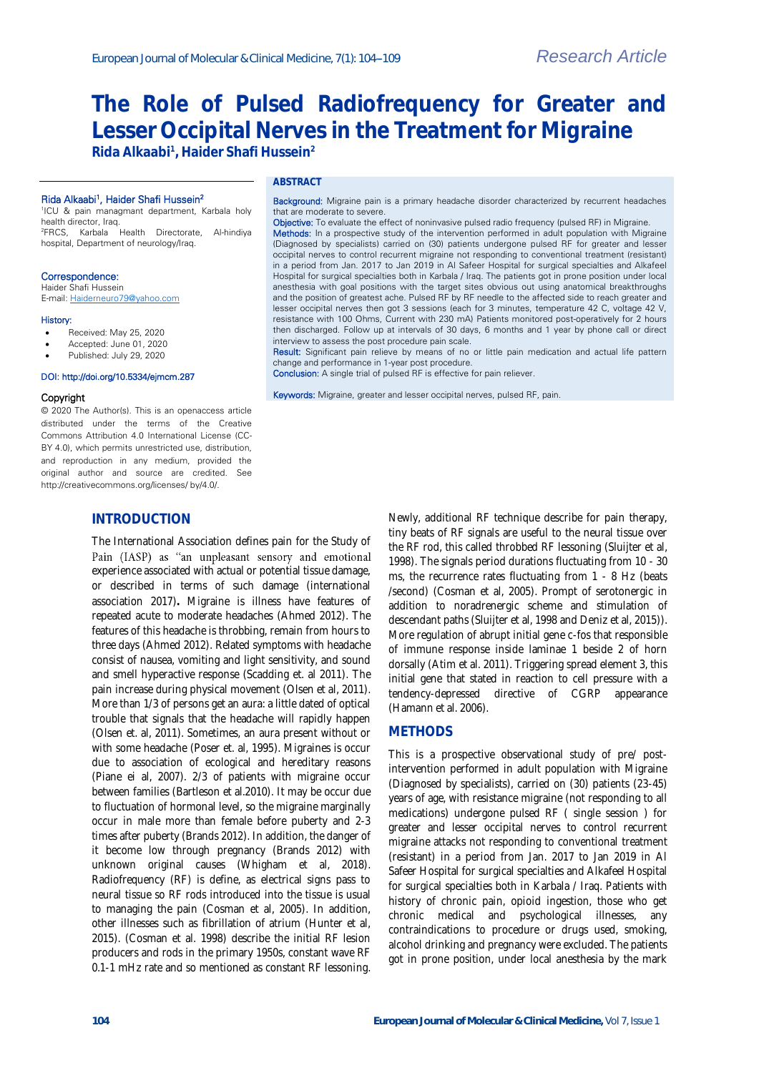# **The Role of Pulsed Radiofrequency for Greater and Lesser Occipital Nerves in the Treatment for Migraine**

**Rida Alkaabi<sup>1</sup> , Haider Shafi Hussein<sup>2</sup>**

### Rida Alkaabi<sup>1</sup>, Haider Shafi Hussein<sup>2</sup>

1 ICU & pain managmant department, Karbala holy health director, Iraq. <sup>2</sup>FRCS, Karbala Health Directorate, Al-hindiya hospital, Department of neurology/Iraq.

## Correspondence:

Haider Shafi Hussein E-mail[: Haiderneuro79@yahoo.com](mailto:Haiderneuro79@yahoo.com)

#### History:

- Received: May 25, 2020
- Accepted: June 01, 2020
- Published: July 29, 2020

#### DOI: http://doi.org/10.5334/ejmcm.287

#### Copyright

© 2020 The Author(s). This is an openaccess article distributed under the terms of the Creative Commons Attribution 4.0 International License (CC-BY 4.0), which permits unrestricted use, distribution and reproduction in any medium, provided the original author and source are credited. See http://creativecommons.org/licenses/ by/4.0/.

## **INTRODUCTION**

The International Association defines pain for the Study of Pain (IASP) as "an unpleasant sensory and emotional experience associated with actual or potential tissue damage, or described in terms of such damage (international association 2017)**.** Migraine is illness have features of repeated acute to moderate [headaches \(](https://en.wikipedia.org/wiki/Headache)Ahmed 2012). The features of this headache is throbbing, remain from hours to three days (Ahmed 2012). Related symptoms with headache consist of [nausea,](https://en.wikipedia.org/wiki/Nausea) vomiting and light sensitivity, and sound and smell hyperactive response (Scadding et. al 2011). The pain increase during physical movement (Olsen et al, 2011). More than 1/3 of persons get an aura: a little dated of optical trouble that signals that the headache will rapidly happen (Olsen et. al, 2011). Sometimes, an aura present without or with some headache (Poser et. al, 1995). Migraines is occur due to association of ecological and hereditary reasons (Piane ei al, 2007). 2/3 of patients with migraine occur between families (Bartleson et al.2010). It may be occur due to fluctuation of hormonal level, so the migraine marginally occur in male more than female before puberty and 2-3 times after puberty (Brands 2012). In addition, the danger of it become low through pregnancy (Brands 2012) with unknown original causes (Whigham et al, 2018). Radiofrequency (RF) is define, as electrical signs pass to neural tissue so RF rods introduced into the tissue is usual to managing the pain (Cosman et al, 2005). In addition, other illnesses such as fibrillation of atrium (Hunter et al, 2015). (Cosman et al. 1998) describe the initial RF lesion producers and rods in the primary 1950s, constant wave RF 0.1-1 mHz rate and so mentioned as constant RF lessoning.

## **ABSTRACT**

Background: Migraine pain is a primary headache disorder characterized by recurrent headaches that are moderate to severe. Objective: To evaluate the effect of noninvasive pulsed radio frequency (pulsed RF) in Migraine.

Methods: In a prospective study of the intervention performed in adult population with Migraine (Diagnosed by specialists) carried on (30) patients undergone pulsed RF for greater and lesser occipital nerves to control recurrent migraine not responding to conventional treatment (resistant) in a period from Jan. 2017 to Jan 2019 in Al Safeer Hospital for surgical specialties and Alkafeel Hospital for surgical specialties both in Karbala / Iraq. The patients got in prone position under local anesthesia with goal positions with the target sites obvious out using anatomical breakthroughs and the position of greatest ache. Pulsed RF by RF needle to the affected side to reach greater and lesser occipital nerves then got 3 sessions (each for 3 minutes, temperature 42 C, voltage 42 V resistance with 100 Ohms, Current with 230 mA) Patients monitored post-operatively for 2 hours then discharged. Follow up at intervals of 30 days, 6 months and 1 year by phone call or direct interview to assess the post procedure pain scale.

Result: Significant pain relieve by means of no or little pain medication and actual life pattern change and performance in 1-year post procedure.

Conclusion: A single trial of pulsed RF is effective for pain reliever.

Keywords: Migraine, greater and lesser occipital nerves, pulsed RF, pain.

Newly, additional RF technique describe for pain therapy, tiny beats of RF signals are useful to the neural tissue over the RF rod, this called throbbed RF lessoning (Sluijter et al, 1998). The signals period durations fluctuating from 10 - 30 ms, the recurrence rates fluctuating from 1 - 8 Hz (beats /second) (Cosman et al, 2005). Prompt of serotonergic in addition to noradrenergic scheme and stimulation of descendant paths (Sluijter et al, 1998 and Deniz et al, 2015)). More regulation of abrupt initial gene c-fos that responsible of immune response inside laminae 1 beside 2 of horn dorsally (Atim et al. 2011). Triggering spread element 3, this initial gene that stated in reaction to cell pressure with a tendency-depressed directive of CGRP appearance (Hamann et al. 2006).

## **METHODS**

This is a prospective observational study of pre/ postintervention performed in adult population with Migraine (Diagnosed by specialists), carried on (30) patients (23-45) years of age, with resistance migraine (not responding to all medications) undergone pulsed RF ( single session ) for greater and lesser occipital nerves to control recurrent migraine attacks not responding to conventional treatment (resistant) in a period from Jan. 2017 to Jan 2019 in Al Safeer Hospital for surgical specialties and Alkafeel Hospital for surgical specialties both in Karbala / Iraq. Patients with history of chronic pain, opioid ingestion, those who get chronic medical and psychological illnesses, any contraindications to procedure or drugs used, smoking, alcohol drinking and pregnancy were excluded. The patients got in prone position, under local anesthesia by the mark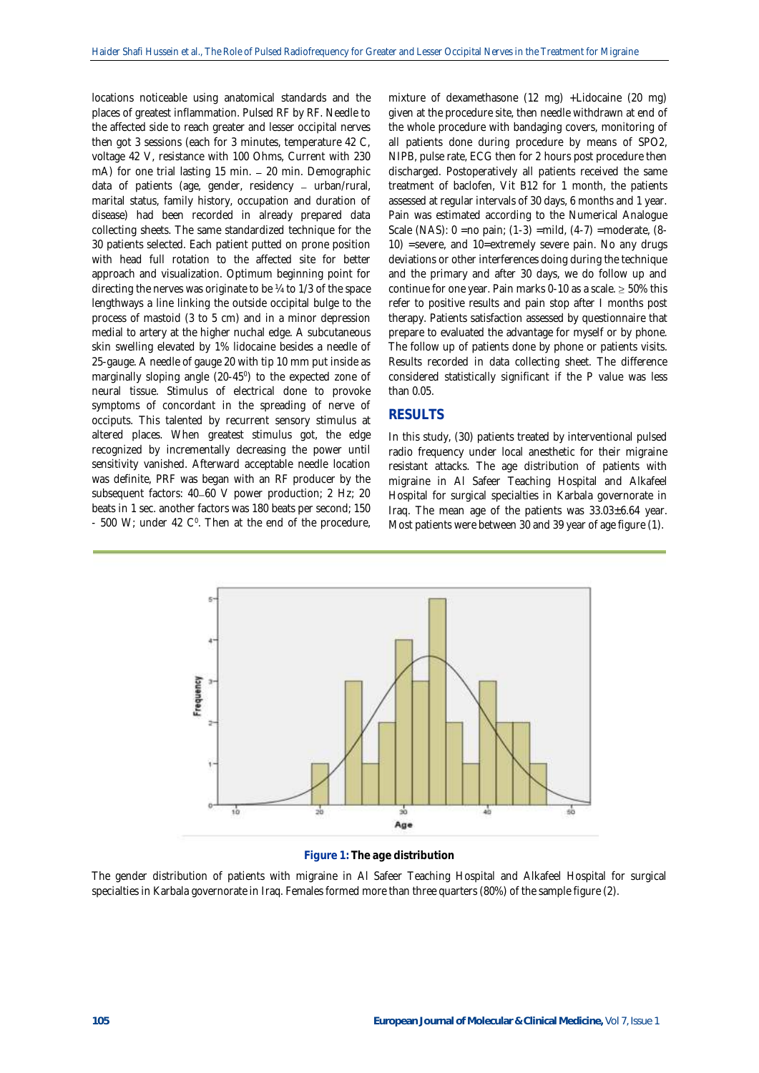locations noticeable using anatomical standards and the places of greatest inflammation. Pulsed RF by RF. Needle to the affected side to reach greater and lesser occipital nerves then got 3 sessions (each for 3 minutes, temperature 42 C, voltage 42 V, resistance with 100 Ohms, Current with 230 mA) for one trial lasting 15 min. 20 min. Demographic data of patients (age, gender, residency  $-$  urban/rural, marital status, family history, occupation and duration of disease) had been recorded in already prepared data collecting sheets. The same standardized technique for the 30 patients selected. Each patient putted on prone position with head full rotation to the affected site for better approach and visualization. Optimum beginning point for directing the nerves was originate to be ¼ to 1/3 of the space lengthways a line linking the outside occipital bulge to the process of mastoid (3 to 5 cm) and in a minor depression medial to artery at the higher nuchal edge. A subcutaneous skin swelling elevated by 1% lidocaine besides a needle of 25-gauge. A needle of gauge 20 with tip 10 mm put inside as marginally sloping angle (20-45<sup>o</sup>) to the expected zone of neural tissue. Stimulus of electrical done to provoke symptoms of concordant in the spreading of nerve of occiputs. This talented by recurrent sensory stimulus at altered places. When greatest stimulus got, the edge recognized by incrementally decreasing the power until sensitivity vanished. Afterward acceptable needle location was definite, PRF was began with an RF producer by the subsequent factors: 40-60 V power production; 2 Hz; 20 beats in 1 sec. another factors was 180 beats per second; 150  $-$  500 W; under 42 C<sup>o</sup>. Then at the end of the procedure,

mixture of dexamethasone (12 mg) +Lidocaine (20 mg) given at the procedure site, then needle withdrawn at end of the whole procedure with bandaging covers, monitoring of all patients done during procedure by means of SPO2, NIPB, pulse rate, ECG then for 2 hours post procedure then discharged. Postoperatively all patients received the same treatment of baclofen, Vit B12 for 1 month, the patients assessed at regular intervals of 30 days, 6 months and 1 year. Pain was estimated according to the Numerical Analogue Scale (NAS): 0 =no pain; (1-3) =mild, (4-7) =moderate, (8- 10) =severe, and 10=extremely severe pain. No any drugs deviations or other interferences doing during the technique and the primary and after 30 days, we do follow up and continue for one year. Pain marks 0-10 as a scale.  $\geq$  50% this refer to positive results and pain stop after I months post therapy. Patients satisfaction assessed by questionnaire that prepare to evaluated the advantage for myself or by phone. The follow up of patients done by phone or patients visits. Results recorded in data collecting sheet. The difference considered statistically significant if the P value was less than 0.05.

## **RESULTS**

In this study, (30) patients treated by interventional pulsed radio frequency under local anesthetic for their migraine resistant attacks. The age distribution of patients with migraine in Al Safeer Teaching Hospital and Alkafeel Hospital for surgical specialties in Karbala governorate in Iraq. The mean age of the patients was 33.03±6.64 year. Most patients were between 30 and 39 year of age figure (1).



## **Figure 1: The age distribution**

The gender distribution of patients with migraine in Al Safeer Teaching Hospital and Alkafeel Hospital for surgical specialties in Karbala governorate in Iraq. Females formed more than three quarters (80%) of the sample figure (2).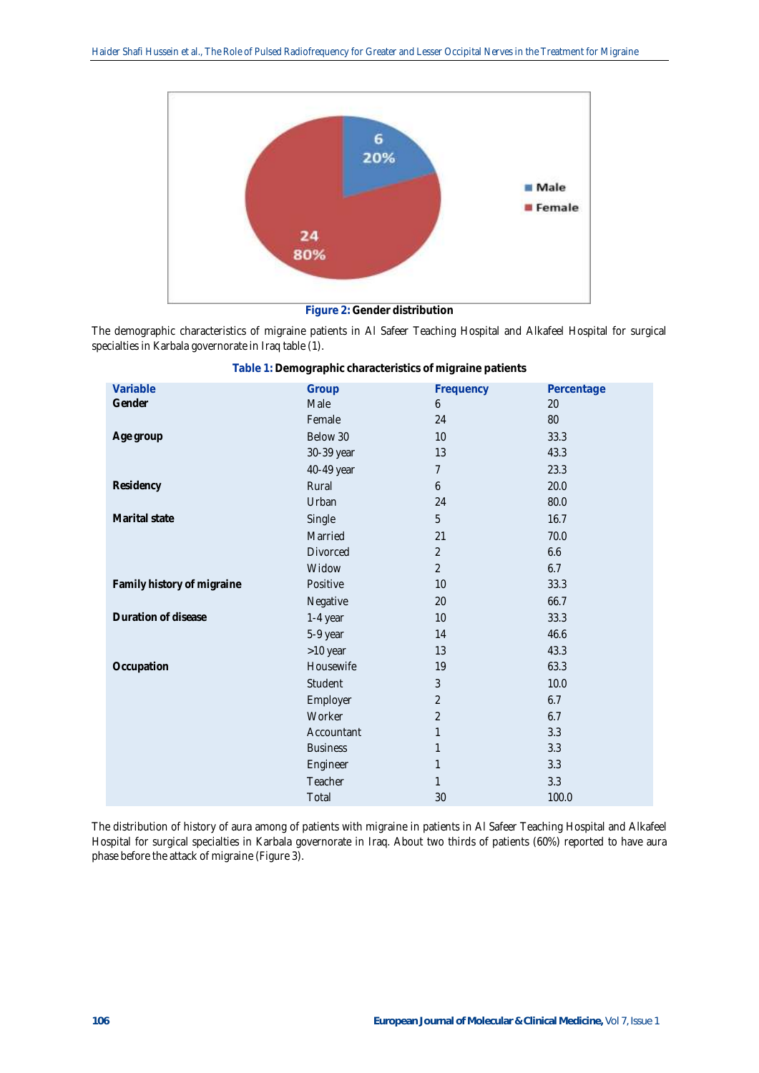

**Figure 2: Gender distribution**

The demographic characteristics of migraine patients in Al Safeer Teaching Hospital and Alkafeel Hospital for surgical specialties in Karbala governorate in Iraq table (1).

| Variable                   | Group           | Frequency        | Percentage |
|----------------------------|-----------------|------------------|------------|
| Gender                     | Male            | 6                | 20         |
|                            | Female          | 24               | $80\,$     |
| Age group                  | Below 30        | 10               | 33.3       |
|                            | 30-39 year      | 13               | 43.3       |
|                            | 40-49 year      | $\overline{7}$   | 23.3       |
| Residency                  | Rural           | $\boldsymbol{6}$ | 20.0       |
|                            | Urban           | 24               | 80.0       |
| Marital state              | Single          | 5                | 16.7       |
|                            | Married         | 21               | 70.0       |
|                            | Divorced        | $\overline{2}$   | 6.6        |
|                            | Widow           | $\overline{2}$   | 6.7        |
| Family history of migraine | Positive        | 10               | 33.3       |
|                            | Negative        | 20               | 66.7       |
| Duration of disease        | 1-4 year        | 10               | 33.3       |
|                            | 5-9 year        | 14               | 46.6       |
|                            | >10 year        | 13               | 43.3       |
| Occupation                 | Housewife       | 19               | 63.3       |
|                            | Student         | 3                | 10.0       |
|                            | Employer        | $\overline{2}$   | 6.7        |
|                            | Worker          | 2                | 6.7        |
|                            | Accountant      | $\mathbf{1}$     | 3.3        |
|                            | <b>Business</b> | 1                | 3.3        |
|                            | Engineer        | $\mathbf{1}$     | 3.3        |
|                            | Teacher         | $\mathbf{1}$     | 3.3        |
|                            | Total           | 30               | 100.0      |

**Table 1: Demographic characteristics of migraine patients**

The distribution of history of aura among of patients with migraine in patients in Al Safeer Teaching Hospital and Alkafeel Hospital for surgical specialties in Karbala governorate in Iraq. About two thirds of patients (60%) reported to have aura phase before the attack of migraine (Figure 3).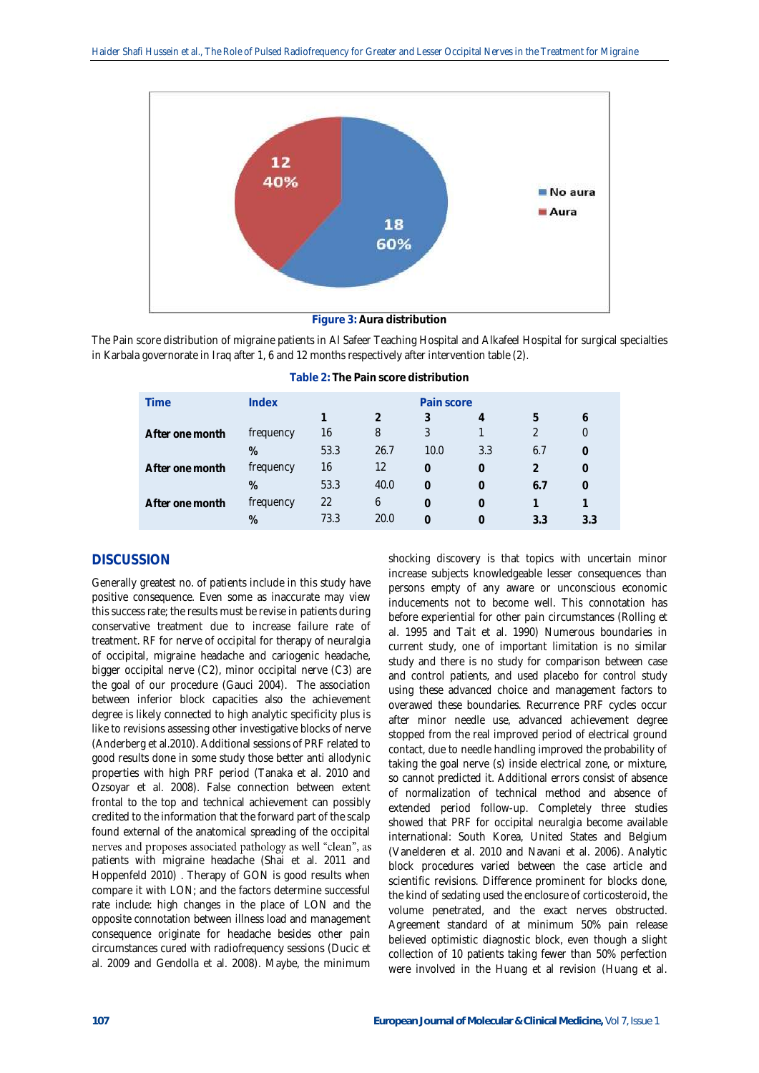

**Figure 3: Aura distribution**

The Pain score distribution of migraine patients in Al Safeer Teaching Hospital and Alkafeel Hospital for surgical specialties in Karbala governorate in Iraq after 1, 6 and 12 months respectively after intervention table (2).

| <b>Time</b>     | Index     | Pain score |      |          |     |     |     |  |
|-----------------|-----------|------------|------|----------|-----|-----|-----|--|
|                 |           |            |      |          | 4   | h   |     |  |
| After one month | frequency | 16         | 8    | 3        |     |     |     |  |
|                 | %         | 53.3       | 26.7 | 10.0     | 3.3 | 6.7 |     |  |
| After one month | frequency | 16         | 12   | $\Omega$ | 0   |     |     |  |
|                 | %         | 53.3       | 40.0 | $\Omega$ | 0   | 6.7 |     |  |
| After one month | frequency | 22         | 6    | 0        |     |     |     |  |
|                 | %         | 73.3       | 20.0 |          |     | 3.3 | 3.3 |  |

**Table 2: The Pain score distribution**

# **DISCUSSION**

Generally greatest no. of patients include in this study have positive consequence. Even some as inaccurate may view this success rate; the results must be revise in patients during conservative treatment due to increase failure rate of treatment. RF for nerve of occipital for therapy of neuralgia of occipital, migraine headache and cariogenic headache, bigger occipital nerve (C2), minor occipital nerve (C3) are the goal of our procedure (Gauci 2004). The association between inferior block capacities also the achievement degree is likely connected to high analytic specificity plus is like to revisions assessing other investigative blocks of nerve (Anderberg et al.2010). Additional sessions of PRF related to good results done in some study those better anti allodynic properties with high PRF period (Tanaka et al. 2010 and Ozsoyar et al. 2008). False connection between extent frontal to the top and technical achievement can possibly credited to the information that the forward part of the scalp found external of the anatomical spreading of the occipital nerves and proposes associated pathology as well "clean", as patients with migraine headache (Shai et al. 2011 and Hoppenfeld 2010) . Therapy of GON is good results when compare it with LON; and the factors determine successful rate include: high changes in the place of LON and the opposite connotation between illness load and management consequence originate for headache besides other pain circumstances cured with radiofrequency sessions (Ducic et al. 2009 and Gendolla et al. 2008). Maybe, the minimum

shocking discovery is that topics with uncertain minor increase subjects knowledgeable lesser consequences than persons empty of any aware or unconscious economic inducements not to become well. This connotation has before experiential for other pain circumstances (Rolling et al. 1995 and Tait et al. 1990) Numerous boundaries in current study, one of important limitation is no similar study and there is no study for comparison between case and control patients, and used placebo for control study using these advanced choice and management factors to overawed these boundaries. Recurrence PRF cycles occur after minor needle use, advanced achievement degree stopped from the real improved period of electrical ground contact, due to needle handling improved the probability of taking the goal nerve (s) inside electrical zone, or mixture, so cannot predicted it. Additional errors consist of absence of normalization of technical method and absence of extended period follow-up. Completely three studies showed that PRF for occipital neuralgia become available international: South Korea, United States and Belgium (Vanelderen et al. 2010 and Navani et al. 2006). Analytic block procedures varied between the case article and scientific revisions. Difference prominent for blocks done, the kind of sedating used the enclosure of corticosteroid, the volume penetrated, and the exact nerves obstructed. Agreement standard of at minimum 50% pain release believed optimistic diagnostic block, even though a slight collection of 10 patients taking fewer than 50% perfection were involved in the Huang et al revision (Huang et al.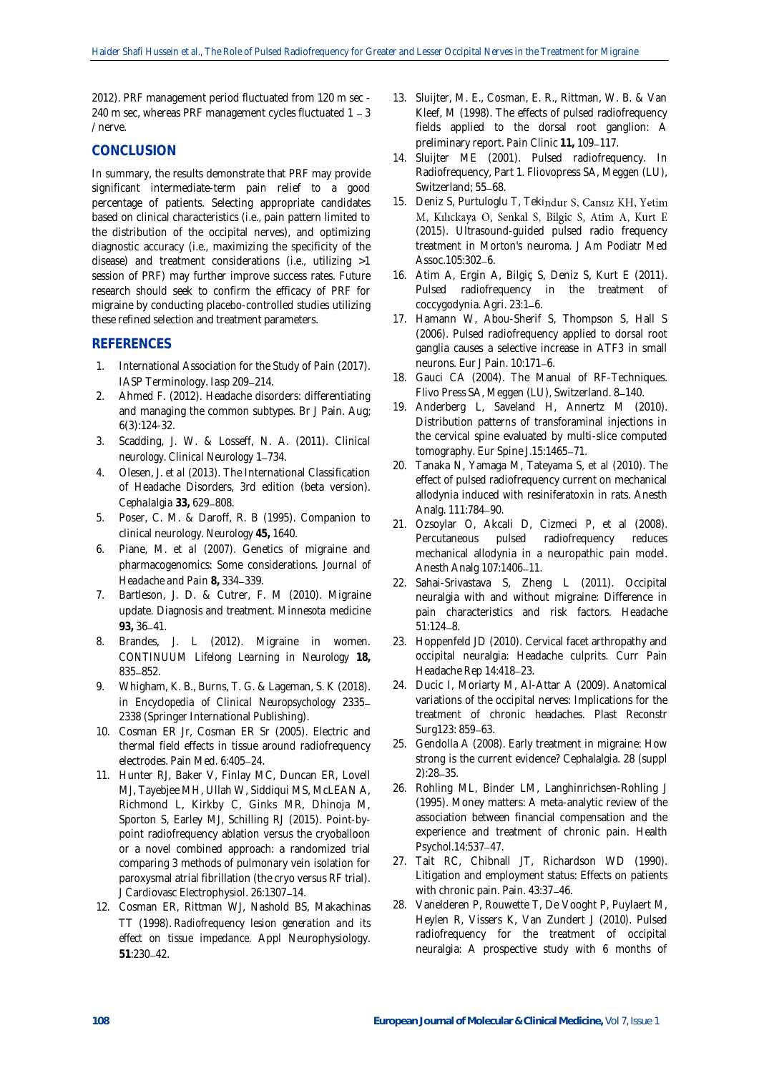2012). PRF management period fluctuated from 120 m sec - 240 m sec, whereas PRF management cycles fluctuated  $1 - 3$ / nerve.

# **CONCLUSION**

In summary, the results demonstrate that PRF may provide significant intermediate-term pain relief to a good percentage of patients. Selecting appropriate candidates based on clinical characteristics (i.e., pain pattern limited to the distribution of the occipital nerves), and optimizing diagnostic accuracy (i.e., maximizing the specificity of the disease) and treatment considerations (i.e., utilizing >1 session of PRF) may further improve success rates. Future research should seek to confirm the efficacy of PRF for migraine by conducting placebo-controlled studies utilizing these refined selection and treatment parameters.

# **REFERENCES**

- 1. International Association for the Study of Pain (2017). IASP Terminology. lasp 209-214.
- 2. Ahmed F. (2012). Headache disorders: differentiating and managing the common subtypes. Br J Pain. Aug; 6(3):124-32.
- 3. Scadding, J. W. & Losseff, N. A. (2011). *Clinical neurology. Clinical Neurology* 1-734.
- 4. Olesen, J. *et al (2013).* The International Classification of Headache Disorders, 3rd edition (beta version). *Cephalalgia* 33, 629-808.
- 5. Poser, C. M. & Daroff, R. B (1995). Companion to clinical neurology. *Neurology* **45,** 1640.
- 6. Piane, M. *et al (2007).* Genetics of migraine and pharmacogenomics: Some considerations. *Journal of Headache and Pain* **8,** 334 339.
- 7. Bartleson, J. D. & Cutrer, F. M (2010). Migraine update. Diagnosis and treatment. *Minnesota medicine* **93,** 36 41.
- 8. Brandes, J. L (2012). Migraine in women. *CONTINUUM Lifelong Learning in Neurology* **18,** 835 - 852.
- 9. Whigham, K. B., Burns, T. G. & Lageman, S. K (2018). in *Encyclopedia of Clinical Neuropsychology* 2335 2338 (Springer International Publishing).
- 10. Cosman ER Jr, Cosman ER Sr (2005). Electric and thermal field effects in tissue around radiofrequency electrodes. Pain Med. 6:405-24.
- 11. Hunter RJ, Baker V, Finlay MC, Duncan ER, Lovell MJ, Tayebjee MH, Ullah W, Siddiqui MS, McLEAN A, Richmond L, Kirkby C, Ginks MR, Dhinoja M, Sporton S, Earley MJ, Schilling RJ (2015). Point-bypoint radiofrequency ablation versus the cryoballoon or a novel combined approach: a randomized trial comparing 3 methods of pulmonary vein isolation for paroxysmal atrial fibrillation (the cryo versus RF trial). J Cardiovasc Electrophysiol. 26:1307-14.
- 12. Cosman ER, Rittman WJ, Nashold BS, Makachinas TT (1998). *Radiofrequency lesion generation and its effect on tissue impedance*. Appl Neurophysiology. **51**:230 42.
- 13. Sluijter, M. E., Cosman, E. R., Rittman, W. B. & Van Kleef, M (1998). The effects of pulsed radiofrequency fields applied to the dorsal root ganglion: A preliminary report. Pain Clinic 11, 109-117.
- 14. Sluijter ME (2001). Pulsed radiofrequency. In Radiofrequency, Part 1. Fliovopress SA, Meggen (LU), Switzerland: 55-68.
- 15. Deniz S, Purtuloglu T, Tekindur S, Cansız KH, Yetim M, Kılıckaya O, Senkal S, Bilgic S, Atim A, Kurt E (2015). Ultrasound-guided pulsed radio frequency treatment in Morton's neuroma. J Am Podiatr Med Assoc.105:302-6.
- 16. Atim A, Ergin A, Bilgiç S, Deniz S, Kurt E (2011). Pulsed radiofrequency in the treatment of coccygodynia. Agri. 23:1-6.
- 17. Hamann W, Abou-Sherif S, Thompson S, Hall S (2006). Pulsed radiofrequency applied to dorsal root ganglia causes a selective increase in ATF3 in small neurons. Eur J Pain. 10:171-6.
- 18. Gauci CA (2004). The Manual of RF-Techniques. Flivo Press SA, Meggen (LU), Switzerland. 8-140.
- 19. Anderberg L, Saveland H, Annertz M (2010). Distribution patterns of transforaminal injections in the cervical spine evaluated by multi-slice computed tomography. Eur Spine J.15:1465-71.
- 20. Tanaka N, Yamaga M, Tateyama S, et al (2010). The effect of pulsed radiofrequency current on mechanical allodynia induced with resiniferatoxin in rats. Anesth Analg. 111:784-90.
- 21. Ozsoylar O, Akcali D, Cizmeci P, et al (2008). Percutaneous pulsed radiofrequency reduces mechanical allodynia in a neuropathic pain model. Anesth Analg 107:1406-11.
- 22. Sahai-Srivastava S, Zheng L (2011). Occipital neuralgia with and without migraine: Difference in pain characteristics and risk factors. Headache  $51:124 - 8.$
- 23. Hoppenfeld JD (2010). Cervical facet arthropathy and occipital neuralgia: Headache culprits. Curr Pain Headache Rep 14:418-23.
- 24. Ducic I, Moriarty M, Al-Attar A (2009). Anatomical variations of the occipital nerves: Implications for the treatment of chronic headaches. Plast Reconstr Surg123: 859-63.
- 25. Gendolla A (2008). Early treatment in migraine: How strong is the current evidence? Cephalalgia. 28 (suppl  $2):28 - 35.$
- 26. Rohling ML, Binder LM, Langhinrichsen-Rohling J (1995). Money matters: A meta-analytic review of the association between financial compensation and the experience and treatment of chronic pain. Health Psychol.14:537-47.
- 27. Tait RC, Chibnall JT, Richardson WD (1990). Litigation and employment status: Effects on patients with chronic pain. Pain. 43:37-46.
- 28. Vanelderen P, Rouwette T, De Vooght P, Puylaert M, Heylen R, Vissers K, Van Zundert J (2010). Pulsed radiofrequency for the treatment of occipital neuralgia: A prospective study with 6 months of